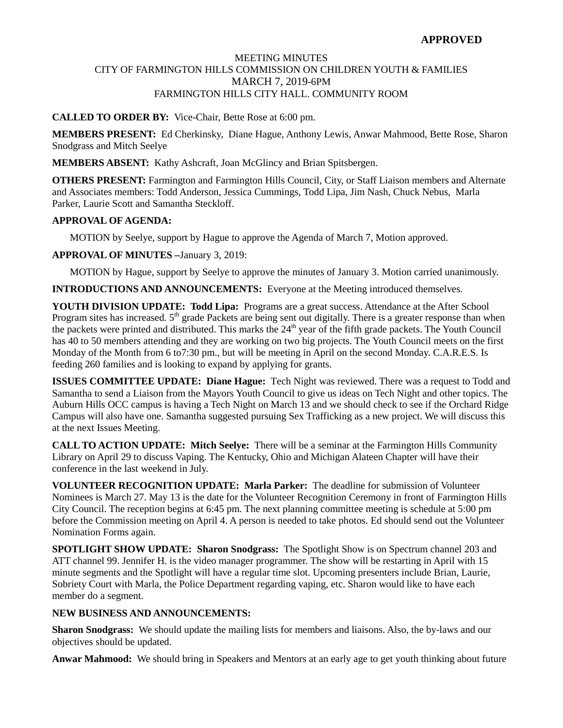# **APPROVED**

### MEETING MINUTES CITY OF FARMINGTON HILLS COMMISSION ON CHILDREN YOUTH & FAMILIES MARCH 7, 2019-6PM FARMINGTON HILLS CITY HALL. COMMUNITY ROOM

### **CALLED TO ORDER BY:** Vice-Chair, Bette Rose at 6:00 pm.

**MEMBERS PRESENT:** Ed Cherkinsky, Diane Hague, Anthony Lewis, Anwar Mahmood, Bette Rose, Sharon Snodgrass and Mitch Seelye

**MEMBERS ABSENT:** Kathy Ashcraft, Joan McGlincy and Brian Spitsbergen.

**OTHERS PRESENT:** Farmington and Farmington Hills Council, City, or Staff Liaison members and Alternate and Associates members: Todd Anderson, Jessica Cummings, Todd Lipa, Jim Nash, Chuck Nebus, Marla Parker, Laurie Scott and Samantha Steckloff.

### **APPROVAL OF AGENDA:**

MOTION by Seelye, support by Hague to approve the Agenda of March 7, Motion approved.

**APPROVAL OF MINUTES –**January 3, 2019:

MOTION by Hague, support by Seelye to approve the minutes of January 3. Motion carried unanimously.

**INTRODUCTIONS AND ANNOUNCEMENTS:** Everyone at the Meeting introduced themselves.

**YOUTH DIVISION UPDATE: Todd Lipa:** Programs are a great success. Attendance at the After School Program sites has increased.  $5<sup>th</sup>$  grade Packets are being sent out digitally. There is a greater response than when the packets were printed and distributed. This marks the 24<sup>th</sup> year of the fifth grade packets. The Youth Council has 40 to 50 members attending and they are working on two big projects. The Youth Council meets on the first Monday of the Month from 6 to7:30 pm., but will be meeting in April on the second Monday. C.A.R.E.S. Is feeding 260 families and is looking to expand by applying for grants.

**ISSUES COMMITTEE UPDATE: Diane Hague:** Tech Night was reviewed. There was a request to Todd and Samantha to send a Liaison from the Mayors Youth Council to give us ideas on Tech Night and other topics. The Auburn Hills OCC campus is having a Tech Night on March 13 and we should check to see if the Orchard Ridge Campus will also have one. Samantha suggested pursuing Sex Trafficking as a new project. We will discuss this at the next Issues Meeting.

**CALL TO ACTION UPDATE: Mitch Seelye:** There will be a seminar at the Farmington Hills Community Library on April 29 to discuss Vaping. The Kentucky, Ohio and Michigan Alateen Chapter will have their conference in the last weekend in July.

**VOLUNTEER RECOGNITION UPDATE: Marla Parker:** The deadline for submission of Volunteer Nominees is March 27. May 13 is the date for the Volunteer Recognition Ceremony in front of Farmington Hills City Council. The reception begins at 6:45 pm. The next planning committee meeting is schedule at 5:00 pm before the Commission meeting on April 4. A person is needed to take photos. Ed should send out the Volunteer Nomination Forms again.

**SPOTLIGHT SHOW UPDATE: Sharon Snodgrass:** The Spotlight Show is on Spectrum channel 203 and ATT channel 99. Jennifer H. is the video manager programmer. The show will be restarting in April with 15 minute segments and the Spotlight will have a regular time slot. Upcoming presenters include Brian, Laurie, Sobriety Court with Marla, the Police Department regarding vaping, etc. Sharon would like to have each member do a segment.

### **NEW BUSINESS AND ANNOUNCEMENTS:**

**Sharon Snodgrass:** We should update the mailing lists for members and liaisons. Also, the by-laws and our objectives should be updated.

**Anwar Mahmood:** We should bring in Speakers and Mentors at an early age to get youth thinking about future